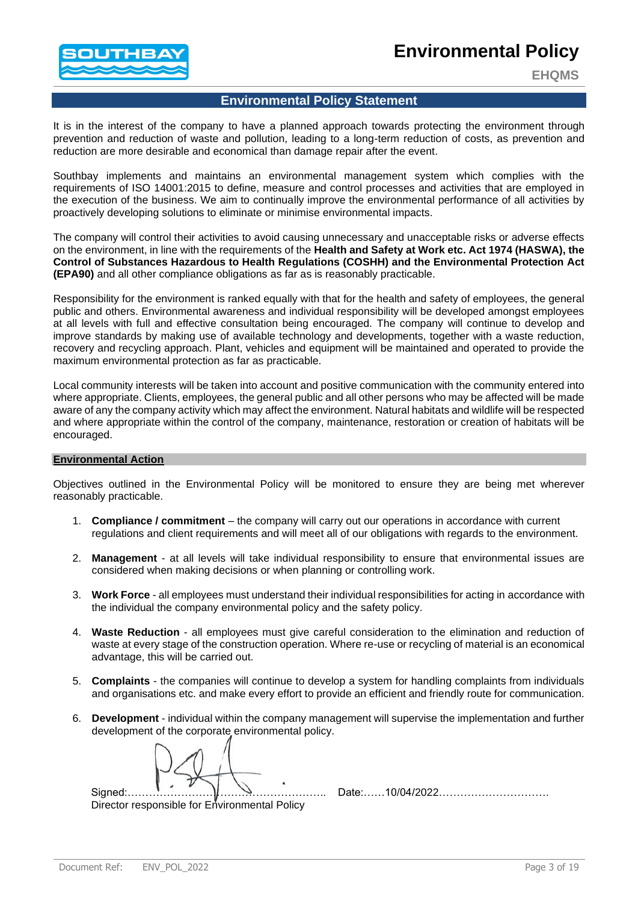## **Environmental Policy**



**EHQMS**

## **Environmental Policy Statement**

It is in the interest of the company to have a planned approach towards protecting the environment through prevention and reduction of waste and pollution, leading to a long-term reduction of costs, as prevention and reduction are more desirable and economical than damage repair after the event.

Southbay implements and maintains an environmental management system which complies with the requirements of ISO 14001:2015 to define, measure and control processes and activities that are employed in the execution of the business. We aim to continually improve the environmental performance of all activities by proactively developing solutions to eliminate or minimise environmental impacts.

The company will control their activities to avoid causing unnecessary and unacceptable risks or adverse effects on the environment, in line with the requirements of the **Health and Safety at Work etc. Act 1974 (HASWA), the Control of Substances Hazardous to Health Regulations (COSHH) and the Environmental Protection Act (EPA90)** and all other compliance obligations as far as is reasonably practicable.

Responsibility for the environment is ranked equally with that for the health and safety of employees, the general public and others. Environmental awareness and individual responsibility will be developed amongst employees at all levels with full and effective consultation being encouraged. The company will continue to develop and improve standards by making use of available technology and developments, together with a waste reduction, recovery and recycling approach. Plant, vehicles and equipment will be maintained and operated to provide the maximum environmental protection as far as practicable.

Local community interests will be taken into account and positive communication with the community entered into where appropriate. Clients, employees, the general public and all other persons who may be affected will be made aware of any the company activity which may affect the environment. Natural habitats and wildlife will be respected and where appropriate within the control of the company, maintenance, restoration or creation of habitats will be encouraged.

## **Environmental Action**

Objectives outlined in the Environmental Policy will be monitored to ensure they are being met wherever reasonably practicable.

- 1. **Compliance / commitment** the company will carry out our operations in accordance with current regulations and client requirements and will meet all of our obligations with regards to the environment.
- 2. **Management** at all levels will take individual responsibility to ensure that environmental issues are considered when making decisions or when planning or controlling work.
- 3. **Work Force**  all employees must understand their individual responsibilities for acting in accordance with the individual the company environmental policy and the safety policy.
- 4. **Waste Reduction** all employees must give careful consideration to the elimination and reduction of waste at every stage of the construction operation. Where re-use or recycling of material is an economical advantage, this will be carried out.
- 5. **Complaints** the companies will continue to develop a system for handling complaints from individuals and organisations etc. and make every effort to provide an efficient and friendly route for communication.
- 6. **Development** individual within the company management will supervise the implementation and further development of the corporate environmental policy.

Director responsible for Environmental Policy

Signed:……………………………………………….. Date:……10/04/2022………………………….